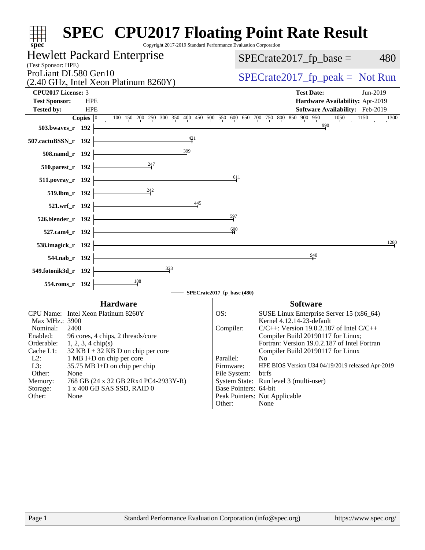| spec <sup>®</sup>                                                           | <b>SPEC<sup>®</sup> CPU2017 Floating Point Rate Result</b><br>Copyright 2017-2019 Standard Performance Evaluation Corporation |
|-----------------------------------------------------------------------------|-------------------------------------------------------------------------------------------------------------------------------|
| Hewlett Packard Enterprise<br>(Test Sponsor: HPE)                           | $SPECrate2017_fp\_base =$<br>480                                                                                              |
| ProLiant DL580 Gen10<br>(2.40 GHz, Intel Xeon Platinum 8260Y)               | $SPECrate2017_fp\_peak = Not Run$                                                                                             |
| <b>CPU2017 License: 3</b>                                                   | <b>Test Date:</b><br>Jun-2019                                                                                                 |
| <b>Test Sponsor:</b><br><b>HPE</b><br><b>HPE</b><br><b>Tested by:</b>       | Hardware Availability: Apr-2019<br>Software Availability: Feb-2019                                                            |
| Copies $ 0 $                                                                | 100 150 200 250 300 350 400 450 500 550 600 650 700 750 800 850 900 950<br>1050<br>1150<br>1300<br>990                        |
| 503.bwaves_r 192                                                            |                                                                                                                               |
| 421<br>507.cactuBSSN_r 192                                                  |                                                                                                                               |
| 399<br>508.namd_r 192                                                       |                                                                                                                               |
| 510.parest_r 192                                                            |                                                                                                                               |
| 511.povray_r 192                                                            | $\frac{611}{2}$                                                                                                               |
| 519.lbm_r 192                                                               |                                                                                                                               |
| 445<br>521.wrf_r 192                                                        |                                                                                                                               |
| 526.blender_r 192                                                           | $\frac{597}{2}$                                                                                                               |
| 527.cam4_r 192                                                              | 600                                                                                                                           |
| 538.imagick_r 192                                                           | 1280                                                                                                                          |
| 544.nab_r 192                                                               | $\frac{940}{11}$                                                                                                              |
| $\frac{323}{9}$<br>549.fotonik3d_r 192                                      |                                                                                                                               |
| 554.roms_r 192                                                              |                                                                                                                               |
|                                                                             | SPECrate2017_fp_base (480)                                                                                                    |
| <b>Hardware</b>                                                             | <b>Software</b>                                                                                                               |
| CPU Name: Intel Xeon Platinum 8260Y                                         | SUSE Linux Enterprise Server 15 (x86_64)<br>OS:                                                                               |
| Max MHz.: 3900<br>Nominal:<br>2400                                          | Kernel 4.12.14-23-default<br>$C/C++$ : Version 19.0.2.187 of Intel $C/C++$                                                    |
| Enabled:<br>96 cores, 4 chips, 2 threads/core                               | Compiler:<br>Compiler Build 20190117 for Linux;                                                                               |
| Orderable:<br>$1, 2, 3, 4$ chip(s)                                          | Fortran: Version 19.0.2.187 of Intel Fortran                                                                                  |
| Cache L1:<br>$32$ KB I + 32 KB D on chip per core                           | Compiler Build 20190117 for Linux                                                                                             |
| $L2$ :<br>1 MB I+D on chip per core<br>L3:<br>35.75 MB I+D on chip per chip | Parallel:<br>N <sub>o</sub><br>Firmware:<br>HPE BIOS Version U34 04/19/2019 released Apr-2019                                 |
| Other:<br>None                                                              | btrfs<br>File System:                                                                                                         |
| 768 GB (24 x 32 GB 2Rx4 PC4-2933Y-R)<br>Memory:                             | System State: Run level 3 (multi-user)                                                                                        |
| Storage:<br>1 x 400 GB SAS SSD, RAID 0<br>Other:                            | Base Pointers: 64-bit<br>Peak Pointers: Not Applicable                                                                        |
| None                                                                        | Other:<br>None                                                                                                                |
|                                                                             |                                                                                                                               |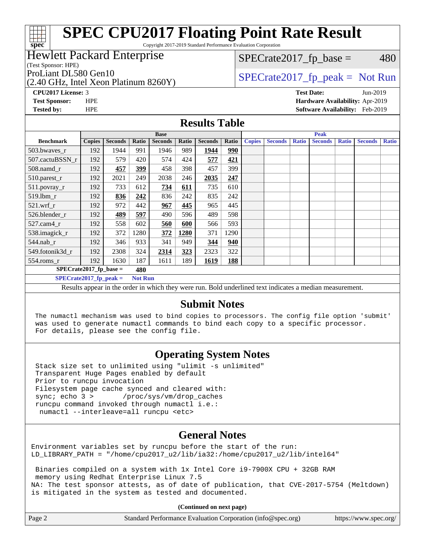Copyright 2017-2019 Standard Performance Evaluation Corporation

#### Hewlett Packard Enterprise

(Test Sponsor: HPE)

(2.40 GHz, Intel Xeon Platinum 8260Y)

 $SPECTate2017<sub>fp</sub> base = 480$ 

### ProLiant DL580 Gen10  $SPECrate2017$ \_fp\_peak = Not Run

**[CPU2017 License:](http://www.spec.org/auto/cpu2017/Docs/result-fields.html#CPU2017License)** 3 **[Test Date:](http://www.spec.org/auto/cpu2017/Docs/result-fields.html#TestDate)** Jun-2019 **[Test Sponsor:](http://www.spec.org/auto/cpu2017/Docs/result-fields.html#TestSponsor)** HPE **[Hardware Availability:](http://www.spec.org/auto/cpu2017/Docs/result-fields.html#HardwareAvailability)** Apr-2019 **[Tested by:](http://www.spec.org/auto/cpu2017/Docs/result-fields.html#Testedby)** HPE **[Software Availability:](http://www.spec.org/auto/cpu2017/Docs/result-fields.html#SoftwareAvailability)** Feb-2019

#### **[Results Table](http://www.spec.org/auto/cpu2017/Docs/result-fields.html#ResultsTable)**

|                                            | <b>Base</b>   |                |       |                |       | <b>Peak</b>    |       |               |                |              |                |              |                |              |
|--------------------------------------------|---------------|----------------|-------|----------------|-------|----------------|-------|---------------|----------------|--------------|----------------|--------------|----------------|--------------|
| <b>Benchmark</b>                           | <b>Copies</b> | <b>Seconds</b> | Ratio | <b>Seconds</b> | Ratio | <b>Seconds</b> | Ratio | <b>Copies</b> | <b>Seconds</b> | <b>Ratio</b> | <b>Seconds</b> | <b>Ratio</b> | <b>Seconds</b> | <b>Ratio</b> |
| 503.bwayes_r                               | 192           | 1944           | 991   | 1946           | 989   | 1944           | 990   |               |                |              |                |              |                |              |
| 507.cactuBSSN r                            | 192           | 579            | 420   | 574            | 424   | 577            | 421   |               |                |              |                |              |                |              |
| 508.namd_r                                 | 192           | 457            | 399   | 458            | 398   | 457            | 399   |               |                |              |                |              |                |              |
| 510.parest_r                               | 192           | 2021           | 249   | 2038           | 246   | 2035           | 247   |               |                |              |                |              |                |              |
| 511.povray_r                               | 192           | 733            | 612   | 734            | 611   | 735            | 610   |               |                |              |                |              |                |              |
| 519.lbm r                                  | 192           | 836            | 242   | 836            | 242   | 835            | 242   |               |                |              |                |              |                |              |
| $521$ .wrf r                               | 192           | 972            | 442   | 967            | 445   | 965            | 445   |               |                |              |                |              |                |              |
| 526.blender r                              | 192           | 489            | 597   | 490            | 596   | 489            | 598   |               |                |              |                |              |                |              |
| $527$ .cam $4r$                            | 192           | 558            | 602   | 560            | 600   | 566            | 593   |               |                |              |                |              |                |              |
| 538.imagick_r                              | 192           | 372            | 1280  | 372            | 1280  | 371            | 1290  |               |                |              |                |              |                |              |
| $544$ .nab r                               | 192           | 346            | 933   | 341            | 949   | 344            | 940   |               |                |              |                |              |                |              |
| 549.fotonik3d r                            | 192           | 2308           | 324   | 2314           | 323   | 2323           | 322   |               |                |              |                |              |                |              |
| $554$ .roms $r$                            | 192           | 1630           | 187   | 1611           | 189   | 1619           | 188   |               |                |              |                |              |                |              |
| $SPECrate2017$ fp base =<br>480            |               |                |       |                |       |                |       |               |                |              |                |              |                |              |
| $SPECrate2017$ fp peak =<br><b>Not Run</b> |               |                |       |                |       |                |       |               |                |              |                |              |                |              |

Results appear in the [order in which they were run](http://www.spec.org/auto/cpu2017/Docs/result-fields.html#RunOrder). Bold underlined text [indicates a median measurement.](http://www.spec.org/auto/cpu2017/Docs/result-fields.html#Median)

#### **[Submit Notes](http://www.spec.org/auto/cpu2017/Docs/result-fields.html#SubmitNotes)**

 The numactl mechanism was used to bind copies to processors. The config file option 'submit' was used to generate numactl commands to bind each copy to a specific processor. For details, please see the config file.

### **[Operating System Notes](http://www.spec.org/auto/cpu2017/Docs/result-fields.html#OperatingSystemNotes)**

 Stack size set to unlimited using "ulimit -s unlimited" Transparent Huge Pages enabled by default Prior to runcpu invocation Filesystem page cache synced and cleared with: sync; echo 3 > /proc/sys/vm/drop\_caches runcpu command invoked through numactl i.e.: numactl --interleave=all runcpu <etc>

#### **[General Notes](http://www.spec.org/auto/cpu2017/Docs/result-fields.html#GeneralNotes)**

Environment variables set by runcpu before the start of the run: LD\_LIBRARY\_PATH = "/home/cpu2017\_u2/lib/ia32:/home/cpu2017\_u2/lib/intel64"

 Binaries compiled on a system with 1x Intel Core i9-7900X CPU + 32GB RAM memory using Redhat Enterprise Linux 7.5 NA: The test sponsor attests, as of date of publication, that CVE-2017-5754 (Meltdown) is mitigated in the system as tested and documented.

**(Continued on next page)**

| Page 2<br>Standard Performance Evaluation Corporation (info@spec.org)<br>https://www.spec.org/ |
|------------------------------------------------------------------------------------------------|
|------------------------------------------------------------------------------------------------|

**[spec](http://www.spec.org/)**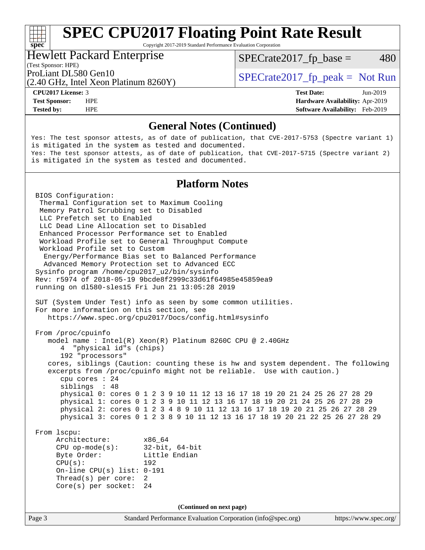Copyright 2017-2019 Standard Performance Evaluation Corporation

#### Hewlett Packard Enterprise

 $SPECTate2017<sub>fp</sub> base = 480$ 

(Test Sponsor: HPE)

(2.40 GHz, Intel Xeon Platinum 8260Y)

**[spec](http://www.spec.org/)**

**[Tested by:](http://www.spec.org/auto/cpu2017/Docs/result-fields.html#Testedby)** HPE **[Software Availability:](http://www.spec.org/auto/cpu2017/Docs/result-fields.html#SoftwareAvailability)** Feb-2019

ProLiant DL580 Gen10  $SPECrate2017$  fp\_peak = Not Run

**[CPU2017 License:](http://www.spec.org/auto/cpu2017/Docs/result-fields.html#CPU2017License)** 3 **[Test Date:](http://www.spec.org/auto/cpu2017/Docs/result-fields.html#TestDate)** Jun-2019 **[Test Sponsor:](http://www.spec.org/auto/cpu2017/Docs/result-fields.html#TestSponsor)** HPE **[Hardware Availability:](http://www.spec.org/auto/cpu2017/Docs/result-fields.html#HardwareAvailability)** Apr-2019

#### **[General Notes \(Continued\)](http://www.spec.org/auto/cpu2017/Docs/result-fields.html#GeneralNotes)**

Yes: The test sponsor attests, as of date of publication, that CVE-2017-5753 (Spectre variant 1) is mitigated in the system as tested and documented. Yes: The test sponsor attests, as of date of publication, that CVE-2017-5715 (Spectre variant 2) is mitigated in the system as tested and documented.

#### **[Platform Notes](http://www.spec.org/auto/cpu2017/Docs/result-fields.html#PlatformNotes)**

Page 3 Standard Performance Evaluation Corporation [\(info@spec.org\)](mailto:info@spec.org) <https://www.spec.org/> BIOS Configuration: Thermal Configuration set to Maximum Cooling Memory Patrol Scrubbing set to Disabled LLC Prefetch set to Enabled LLC Dead Line Allocation set to Disabled Enhanced Processor Performance set to Enabled Workload Profile set to General Throughput Compute Workload Profile set to Custom Energy/Performance Bias set to Balanced Performance Advanced Memory Protection set to Advanced ECC Sysinfo program /home/cpu2017\_u2/bin/sysinfo Rev: r5974 of 2018-05-19 9bcde8f2999c33d61f64985e45859ea9 running on dl580-sles15 Fri Jun 21 13:05:28 2019 SUT (System Under Test) info as seen by some common utilities. For more information on this section, see <https://www.spec.org/cpu2017/Docs/config.html#sysinfo> From /proc/cpuinfo model name : Intel(R) Xeon(R) Platinum 8260C CPU @ 2.40GHz 4 "physical id"s (chips) 192 "processors" cores, siblings (Caution: counting these is hw and system dependent. The following excerpts from /proc/cpuinfo might not be reliable. Use with caution.) cpu cores : 24 siblings : 48 physical 0: cores 0 1 2 3 9 10 11 12 13 16 17 18 19 20 21 24 25 26 27 28 29 physical 1: cores 0 1 2 3 9 10 11 12 13 16 17 18 19 20 21 24 25 26 27 28 29 physical 2: cores 0 1 2 3 4 8 9 10 11 12 13 16 17 18 19 20 21 25 26 27 28 29 physical 3: cores 0 1 2 3 8 9 10 11 12 13 16 17 18 19 20 21 22 25 26 27 28 29 From lscpu: Architecture: x86\_64 CPU op-mode(s): 32-bit, 64-bit Byte Order: Little Endian CPU(s): 192 On-line CPU(s) list: 0-191 Thread(s) per core: 2 Core(s) per socket: 24 **(Continued on next page)**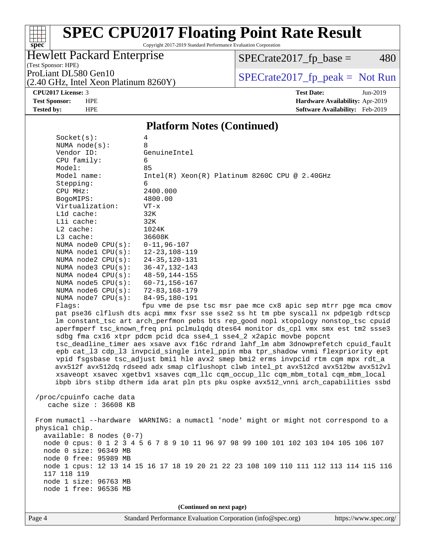# **[spec](http://www.spec.org/)**

# **[SPEC CPU2017 Floating Point Rate Result](http://www.spec.org/auto/cpu2017/Docs/result-fields.html#SPECCPU2017FloatingPointRateResult)**

Copyright 2017-2019 Standard Performance Evaluation Corporation

### Hewlett Packard Enterprise

 $SPECrate2017_fp\_base = 480$ 

#### (Test Sponsor: HPE)

(2.40 GHz, Intel Xeon Platinum 8260Y)

ProLiant DL580 Gen10<br>  $(2.40 \text{ GHz} \text{ Intel } \text{Xeon} \text{ Platinum } 8260 \text{ V})$   $\qquad \qquad$  SPECrate 2017\_fp\_peak = Not Run

**[CPU2017 License:](http://www.spec.org/auto/cpu2017/Docs/result-fields.html#CPU2017License)** 3 **[Test Date:](http://www.spec.org/auto/cpu2017/Docs/result-fields.html#TestDate)** Jun-2019 **[Test Sponsor:](http://www.spec.org/auto/cpu2017/Docs/result-fields.html#TestSponsor)** HPE **[Hardware Availability:](http://www.spec.org/auto/cpu2017/Docs/result-fields.html#HardwareAvailability)** Apr-2019 **[Tested by:](http://www.spec.org/auto/cpu2017/Docs/result-fields.html#Testedby)** HPE **[Software Availability:](http://www.spec.org/auto/cpu2017/Docs/result-fields.html#SoftwareAvailability)** Feb-2019

#### **[Platform Notes \(Continued\)](http://www.spec.org/auto/cpu2017/Docs/result-fields.html#PlatformNotes)**

| Socket(s):                 | 4                                                                                    |
|----------------------------|--------------------------------------------------------------------------------------|
| NUMA $node(s):$            | 8                                                                                    |
| Vendor ID:                 | GenuineIntel                                                                         |
| CPU family:                | 6                                                                                    |
| Model:                     | 85                                                                                   |
| Model name:                | $Intel(R) Xeon(R) Platinum 8260C CPU @ 2.40GHz$                                      |
| Stepping:                  | 6                                                                                    |
| CPU MHz:                   | 2400.000                                                                             |
| BogoMIPS:                  | 4800.00                                                                              |
| Virtualization:            | $VT - x$                                                                             |
| L1d cache:                 | 32K                                                                                  |
| Lli cache:<br>$L2$ cache:  | 32K<br>1024K                                                                         |
| L3 cache:                  | 36608K                                                                               |
| NUMA node0 CPU(s):         | $0 - 11, 96 - 107$                                                                   |
| NUMA $node1$ $CPU(s):$     | $12 - 23, 108 - 119$                                                                 |
| NUMA node2 CPU(s):         | $24 - 35, 120 - 131$                                                                 |
| NUMA $node3$ $CPU(s):$     | $36 - 47, 132 - 143$                                                                 |
| NUMA $node4$ $CPU(s):$     | $48 - 59, 144 - 155$                                                                 |
| NUMA node5 CPU(s):         | $60 - 71, 156 - 167$                                                                 |
| NUMA node6 CPU(s):         | 72-83,168-179                                                                        |
| NUMA $node7$ $CPU(s):$     | 84-95,180-191                                                                        |
| Flaqs:                     | fpu vme de pse tsc msr pae mce cx8 apic sep mtrr pge mca cmov                        |
|                            | pat pse36 clflush dts acpi mmx fxsr sse sse2 ss ht tm pbe syscall nx pdpelgb rdtscp  |
|                            | lm constant_tsc art arch_perfmon pebs bts rep_good nopl xtopology nonstop_tsc cpuid  |
|                            | aperfmperf tsc_known_freq pni pclmulqdq dtes64 monitor ds_cpl vmx smx est tm2 ssse3  |
|                            | sdbg fma cx16 xtpr pdcm pcid dca sse4_1 sse4_2 x2apic movbe popcnt                   |
|                            | tsc_deadline_timer aes xsave avx f16c rdrand lahf_lm abm 3dnowprefetch cpuid_fault   |
|                            | epb cat_13 cdp_13 invpcid_single intel_ppin mba tpr_shadow vnmi flexpriority ept     |
|                            | vpid fsgsbase tsc_adjust bmil hle avx2 smep bmi2 erms invpcid rtm cqm mpx rdt_a      |
|                            | avx512f avx512dq rdseed adx smap clflushopt clwb intel_pt avx512cd avx512bw avx512vl |
|                            | xsaveopt xsavec xgetbvl xsaves cqm_llc cqm_occup_llc cqm_mbm_total cqm_mbm_local     |
|                            | ibpb ibrs stibp dtherm ida arat pln pts pku ospke avx512_vnni arch_capabilities ssbd |
| /proc/cpuinfo cache data   |                                                                                      |
| cache size : 36608 KB      |                                                                                      |
|                            |                                                                                      |
|                            | From numactl --hardware WARNING: a numactl 'node' might or might not correspond to a |
| physical chip.             |                                                                                      |
| $available: 8 nodes (0-7)$ |                                                                                      |
|                            | node 0 cpus: 0 1 2 3 4 5 6 7 8 9 10 11 96 97 98 99 100 101 102 103 104 105 106 107   |
| node 0 size: 96349 MB      |                                                                                      |
| node 0 free: 95989 MB      |                                                                                      |
|                            | node 1 cpus: 12 13 14 15 16 17 18 19 20 21 22 23 108 109 110 111 112 113 114 115 116 |
| 117 118 119                |                                                                                      |
| node 1 size: 96763 MB      |                                                                                      |
| node 1 free: 96536 MB      |                                                                                      |
|                            |                                                                                      |
|                            | (Continued on next page)                                                             |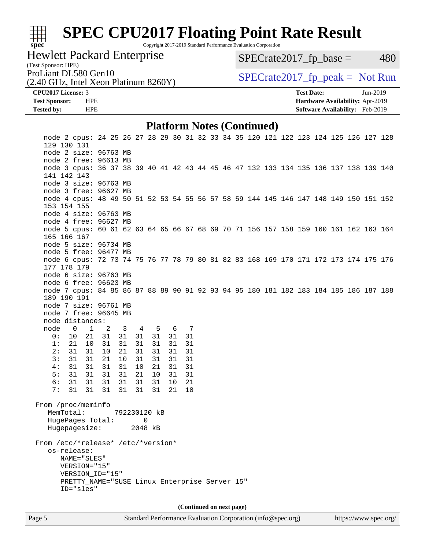# **[spec](http://www.spec.org/)**<sup>®</sup>

# **[SPEC CPU2017 Floating Point Rate Result](http://www.spec.org/auto/cpu2017/Docs/result-fields.html#SPECCPU2017FloatingPointRateResult)**

Copyright 2017-2019 Standard Performance Evaluation Corporation

Hewlett Packard Enterprise

(2.40 GHz, Intel Xeon Platinum 8260Y)

 $SPECTate2017<sub>fp</sub> base = 480$ 

(Test Sponsor: HPE)

ProLiant DL580 Gen10  $SPECrate2017$  fp\_peak = Not Run

#### **[CPU2017 License:](http://www.spec.org/auto/cpu2017/Docs/result-fields.html#CPU2017License)** 3 **[Test Date:](http://www.spec.org/auto/cpu2017/Docs/result-fields.html#TestDate)** Jun-2019

**[Test Sponsor:](http://www.spec.org/auto/cpu2017/Docs/result-fields.html#TestSponsor)** HPE **[Hardware Availability:](http://www.spec.org/auto/cpu2017/Docs/result-fields.html#HardwareAvailability)** Apr-2019 **[Tested by:](http://www.spec.org/auto/cpu2017/Docs/result-fields.html#Testedby)** HPE **[Software Availability:](http://www.spec.org/auto/cpu2017/Docs/result-fields.html#SoftwareAvailability)** Feb-2019

#### **[Platform Notes \(Continued\)](http://www.spec.org/auto/cpu2017/Docs/result-fields.html#PlatformNotes)**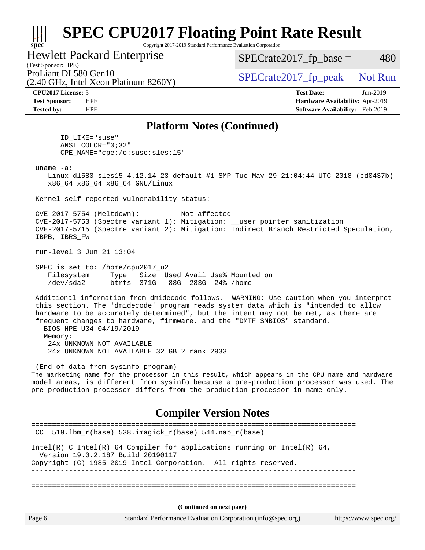Copyright 2017-2019 Standard Performance Evaluation Corporation

Hewlett Packard Enterprise

(2.40 GHz, Intel Xeon Platinum 8260Y)

 $SPECTate2017<sub>fp</sub> base = 480$ 

(Test Sponsor: HPE)

ProLiant DL580 Gen10  $SPECrate2017$  fp\_peak = Not Run

**[spec](http://www.spec.org/)**

**[CPU2017 License:](http://www.spec.org/auto/cpu2017/Docs/result-fields.html#CPU2017License)** 3 **[Test Date:](http://www.spec.org/auto/cpu2017/Docs/result-fields.html#TestDate)** Jun-2019 **[Test Sponsor:](http://www.spec.org/auto/cpu2017/Docs/result-fields.html#TestSponsor)** HPE **[Hardware Availability:](http://www.spec.org/auto/cpu2017/Docs/result-fields.html#HardwareAvailability)** Apr-2019 **[Tested by:](http://www.spec.org/auto/cpu2017/Docs/result-fields.html#Testedby)** HPE **[Software Availability:](http://www.spec.org/auto/cpu2017/Docs/result-fields.html#SoftwareAvailability)** Feb-2019

#### **[Platform Notes \(Continued\)](http://www.spec.org/auto/cpu2017/Docs/result-fields.html#PlatformNotes)**

 ID\_LIKE="suse" ANSI\_COLOR="0;32" CPE\_NAME="cpe:/o:suse:sles:15"

uname -a:

 Linux dl580-sles15 4.12.14-23-default #1 SMP Tue May 29 21:04:44 UTC 2018 (cd0437b) x86\_64 x86\_64 x86\_64 GNU/Linux

Kernel self-reported vulnerability status:

 CVE-2017-5754 (Meltdown): Not affected CVE-2017-5753 (Spectre variant 1): Mitigation: \_\_user pointer sanitization CVE-2017-5715 (Spectre variant 2): Mitigation: Indirect Branch Restricted Speculation, IBPB, IBRS\_FW

run-level 3 Jun 21 13:04

 SPEC is set to: /home/cpu2017\_u2 Filesystem Type Size Used Avail Use% Mounted on /dev/sda2 btrfs 371G 88G 283G 24% /home

 Additional information from dmidecode follows. WARNING: Use caution when you interpret this section. The 'dmidecode' program reads system data which is "intended to allow hardware to be accurately determined", but the intent may not be met, as there are frequent changes to hardware, firmware, and the "DMTF SMBIOS" standard.

 BIOS HPE U34 04/19/2019 Memory: 24x UNKNOWN NOT AVAILABLE 24x UNKNOWN NOT AVAILABLE 32 GB 2 rank 2933

 (End of data from sysinfo program) The marketing name for the processor in this result, which appears in the CPU name and hardware model areas, is different from sysinfo because a pre-production processor was used. The pre-production processor differs from the production processor in name only.

#### **[Compiler Version Notes](http://www.spec.org/auto/cpu2017/Docs/result-fields.html#CompilerVersionNotes)**

|                          | CC 519.1bm $r(base)$ 538.imagick $r(base)$ 544.nab $r(base)$                                                  |  |  |  |
|--------------------------|---------------------------------------------------------------------------------------------------------------|--|--|--|
|                          | Intel(R) C Intel(R) 64 Compiler for applications running on Intel(R) 64,<br>Version 19.0.2.187 Build 20190117 |  |  |  |
|                          | Copyright (C) 1985-2019 Intel Corporation. All rights reserved.                                               |  |  |  |
|                          |                                                                                                               |  |  |  |
|                          |                                                                                                               |  |  |  |
| (Continued on next page) |                                                                                                               |  |  |  |
| Page 6                   | Standard Performance Evaluation Corporation (info@spec.org)<br>https://www.spec.org/                          |  |  |  |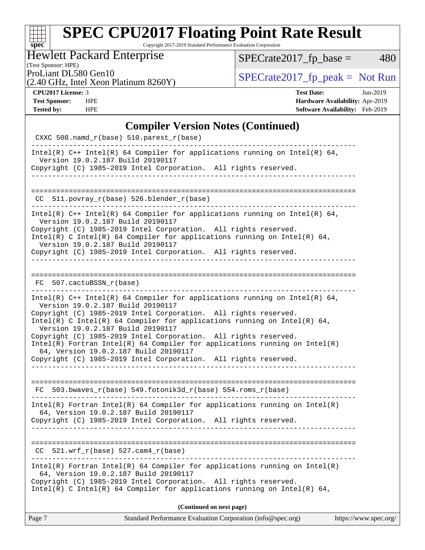### **[SPEC CPU2017 Floating Point Rate Result](http://www.spec.org/auto/cpu2017/Docs/result-fields.html#SPECCPU2017FloatingPointRateResult)** Copyright 2017-2019 Standard Performance Evaluation Corporation

### Hewlett Packard Enterprise

(Test Sponsor: HPE)

 $SPECrate2017_fp\_base = 480$ 

(2.40 GHz, Intel Xeon Platinum 8260Y)

ProLiant DL580 Gen10<br>  $(2.40 \text{ GHz} \text{ Intel } \text{Xeon} \text{ Platinum } 8260 \text{ V})$  [SPECrate2017\\_fp\\_peak =](http://www.spec.org/auto/cpu2017/Docs/result-fields.html#SPECrate2017fppeak) Not Run

**[spec](http://www.spec.org/)**

**[CPU2017 License:](http://www.spec.org/auto/cpu2017/Docs/result-fields.html#CPU2017License)** 3 **[Test Date:](http://www.spec.org/auto/cpu2017/Docs/result-fields.html#TestDate)** Jun-2019 **[Test Sponsor:](http://www.spec.org/auto/cpu2017/Docs/result-fields.html#TestSponsor)** HPE **[Hardware Availability:](http://www.spec.org/auto/cpu2017/Docs/result-fields.html#HardwareAvailability)** Apr-2019 **[Tested by:](http://www.spec.org/auto/cpu2017/Docs/result-fields.html#Testedby)** HPE **[Software Availability:](http://www.spec.org/auto/cpu2017/Docs/result-fields.html#SoftwareAvailability)** Feb-2019

#### **[Compiler Version Notes \(Continued\)](http://www.spec.org/auto/cpu2017/Docs/result-fields.html#CompilerVersionNotes)**

| Standard Performance Evaluation Corporation (info@spec.org)<br>Page 7                                                                                                                                                                                                                                                                                                                                                                                                                                                                                                | https://www.spec.org/ |
|----------------------------------------------------------------------------------------------------------------------------------------------------------------------------------------------------------------------------------------------------------------------------------------------------------------------------------------------------------------------------------------------------------------------------------------------------------------------------------------------------------------------------------------------------------------------|-----------------------|
| (Continued on next page)                                                                                                                                                                                                                                                                                                                                                                                                                                                                                                                                             |                       |
| Intel(R) Fortran Intel(R) 64 Compiler for applications running on $Intel(R)$<br>64, Version 19.0.2.187 Build 20190117<br>Copyright (C) 1985-2019 Intel Corporation. All rights reserved.<br>Intel(R) C Intel(R) 64 Compiler for applications running on Intel(R) 64,                                                                                                                                                                                                                                                                                                 |                       |
| $521.wrf_r(base)$ 527.cam $4_r(base)$<br>CC.<br>____________________________________                                                                                                                                                                                                                                                                                                                                                                                                                                                                                 |                       |
| $Intel(R)$ Fortran Intel(R) 64 Compiler for applications running on Intel(R)<br>64, Version 19.0.2.187 Build 20190117<br>Copyright (C) 1985-2019 Intel Corporation. All rights reserved.                                                                                                                                                                                                                                                                                                                                                                             |                       |
| $FC 503.bwaves_r(base) 549.fotonik3d_r(base) 554.roms_r(base)$                                                                                                                                                                                                                                                                                                                                                                                                                                                                                                       |                       |
| Intel(R) $C++$ Intel(R) 64 Compiler for applications running on Intel(R) 64,<br>Version 19.0.2.187 Build 20190117<br>Copyright (C) 1985-2019 Intel Corporation. All rights reserved.<br>Intel(R) C Intel(R) 64 Compiler for applications running on Intel(R) 64,<br>Version 19.0.2.187 Build 20190117<br>Copyright (C) 1985-2019 Intel Corporation. All rights reserved.<br>$Intel(R)$ Fortran Intel(R) 64 Compiler for applications running on Intel(R)<br>64, Version 19.0.2.187 Build 20190117<br>Copyright (C) 1985-2019 Intel Corporation. All rights reserved. |                       |
| FC 507.cactuBSSN r(base)                                                                                                                                                                                                                                                                                                                                                                                                                                                                                                                                             |                       |
| Intel(R) $C++$ Intel(R) 64 Compiler for applications running on Intel(R) 64,<br>Version 19.0.2.187 Build 20190117<br>Copyright (C) 1985-2019 Intel Corporation. All rights reserved.<br>Intel(R) C Intel(R) 64 Compiler for applications running on Intel(R) 64,<br>Version 19.0.2.187 Build 20190117<br>Copyright (C) 1985-2019 Intel Corporation. All rights reserved.                                                                                                                                                                                             |                       |
| CC 511.povray_r(base) 526.blender_r(base)<br>______________________________________<br>----------------------------------                                                                                                                                                                                                                                                                                                                                                                                                                                            |                       |
| Intel(R) $C++$ Intel(R) 64 Compiler for applications running on Intel(R) 64,<br>Version 19.0.2.187 Build 20190117<br>Copyright (C) 1985-2019 Intel Corporation. All rights reserved.                                                                                                                                                                                                                                                                                                                                                                                 |                       |
| CXXC 508.namd_r(base) 510.parest_r(base)                                                                                                                                                                                                                                                                                                                                                                                                                                                                                                                             |                       |
|                                                                                                                                                                                                                                                                                                                                                                                                                                                                                                                                                                      |                       |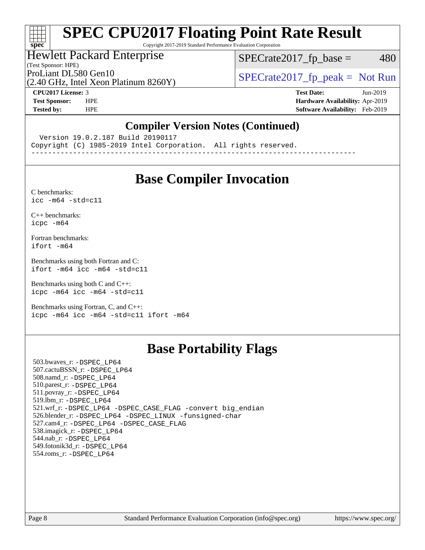Copyright 2017-2019 Standard Performance Evaluation Corporation

#### Hewlett Packard Enterprise

(Test Sponsor: HPE)

 $SPECTate2017<sub>fp</sub> base = 480$ 

(2.40 GHz, Intel Xeon Platinum 8260Y)

ProLiant DL580 Gen10<br>  $SPECTA 10$  [SPECrate2017\\_fp\\_peak =](http://www.spec.org/auto/cpu2017/Docs/result-fields.html#SPECrate2017fppeak) Not Run

**[spec](http://www.spec.org/)**

H F

**[CPU2017 License:](http://www.spec.org/auto/cpu2017/Docs/result-fields.html#CPU2017License)** 3 **[Test Date:](http://www.spec.org/auto/cpu2017/Docs/result-fields.html#TestDate)** Jun-2019 **[Test Sponsor:](http://www.spec.org/auto/cpu2017/Docs/result-fields.html#TestSponsor)** HPE **[Hardware Availability:](http://www.spec.org/auto/cpu2017/Docs/result-fields.html#HardwareAvailability)** Apr-2019 **[Tested by:](http://www.spec.org/auto/cpu2017/Docs/result-fields.html#Testedby)** HPE **[Software Availability:](http://www.spec.org/auto/cpu2017/Docs/result-fields.html#SoftwareAvailability)** Feb-2019

#### **[Compiler Version Notes \(Continued\)](http://www.spec.org/auto/cpu2017/Docs/result-fields.html#CompilerVersionNotes)**

Version 19.0.2.187 Build 20190117

Copyright (C) 1985-2019 Intel Corporation. All rights reserved.

------------------------------------------------------------------------------

### **[Base Compiler Invocation](http://www.spec.org/auto/cpu2017/Docs/result-fields.html#BaseCompilerInvocation)**

[C benchmarks](http://www.spec.org/auto/cpu2017/Docs/result-fields.html#Cbenchmarks):  $icc - m64 - std = c11$ 

[C++ benchmarks:](http://www.spec.org/auto/cpu2017/Docs/result-fields.html#CXXbenchmarks) [icpc -m64](http://www.spec.org/cpu2017/results/res2019q3/cpu2017-20190709-16165.flags.html#user_CXXbase_intel_icpc_64bit_4ecb2543ae3f1412ef961e0650ca070fec7b7afdcd6ed48761b84423119d1bf6bdf5cad15b44d48e7256388bc77273b966e5eb805aefd121eb22e9299b2ec9d9)

[Fortran benchmarks](http://www.spec.org/auto/cpu2017/Docs/result-fields.html#Fortranbenchmarks): [ifort -m64](http://www.spec.org/cpu2017/results/res2019q3/cpu2017-20190709-16165.flags.html#user_FCbase_intel_ifort_64bit_24f2bb282fbaeffd6157abe4f878425411749daecae9a33200eee2bee2fe76f3b89351d69a8130dd5949958ce389cf37ff59a95e7a40d588e8d3a57e0c3fd751)

[Benchmarks using both Fortran and C](http://www.spec.org/auto/cpu2017/Docs/result-fields.html#BenchmarksusingbothFortranandC): [ifort -m64](http://www.spec.org/cpu2017/results/res2019q3/cpu2017-20190709-16165.flags.html#user_CC_FCbase_intel_ifort_64bit_24f2bb282fbaeffd6157abe4f878425411749daecae9a33200eee2bee2fe76f3b89351d69a8130dd5949958ce389cf37ff59a95e7a40d588e8d3a57e0c3fd751) [icc -m64 -std=c11](http://www.spec.org/cpu2017/results/res2019q3/cpu2017-20190709-16165.flags.html#user_CC_FCbase_intel_icc_64bit_c11_33ee0cdaae7deeeab2a9725423ba97205ce30f63b9926c2519791662299b76a0318f32ddfffdc46587804de3178b4f9328c46fa7c2b0cd779d7a61945c91cd35)

[Benchmarks using both C and C++](http://www.spec.org/auto/cpu2017/Docs/result-fields.html#BenchmarksusingbothCandCXX): [icpc -m64](http://www.spec.org/cpu2017/results/res2019q3/cpu2017-20190709-16165.flags.html#user_CC_CXXbase_intel_icpc_64bit_4ecb2543ae3f1412ef961e0650ca070fec7b7afdcd6ed48761b84423119d1bf6bdf5cad15b44d48e7256388bc77273b966e5eb805aefd121eb22e9299b2ec9d9) [icc -m64 -std=c11](http://www.spec.org/cpu2017/results/res2019q3/cpu2017-20190709-16165.flags.html#user_CC_CXXbase_intel_icc_64bit_c11_33ee0cdaae7deeeab2a9725423ba97205ce30f63b9926c2519791662299b76a0318f32ddfffdc46587804de3178b4f9328c46fa7c2b0cd779d7a61945c91cd35)

[Benchmarks using Fortran, C, and C++:](http://www.spec.org/auto/cpu2017/Docs/result-fields.html#BenchmarksusingFortranCandCXX) [icpc -m64](http://www.spec.org/cpu2017/results/res2019q3/cpu2017-20190709-16165.flags.html#user_CC_CXX_FCbase_intel_icpc_64bit_4ecb2543ae3f1412ef961e0650ca070fec7b7afdcd6ed48761b84423119d1bf6bdf5cad15b44d48e7256388bc77273b966e5eb805aefd121eb22e9299b2ec9d9) [icc -m64 -std=c11](http://www.spec.org/cpu2017/results/res2019q3/cpu2017-20190709-16165.flags.html#user_CC_CXX_FCbase_intel_icc_64bit_c11_33ee0cdaae7deeeab2a9725423ba97205ce30f63b9926c2519791662299b76a0318f32ddfffdc46587804de3178b4f9328c46fa7c2b0cd779d7a61945c91cd35) [ifort -m64](http://www.spec.org/cpu2017/results/res2019q3/cpu2017-20190709-16165.flags.html#user_CC_CXX_FCbase_intel_ifort_64bit_24f2bb282fbaeffd6157abe4f878425411749daecae9a33200eee2bee2fe76f3b89351d69a8130dd5949958ce389cf37ff59a95e7a40d588e8d3a57e0c3fd751)

### **[Base Portability Flags](http://www.spec.org/auto/cpu2017/Docs/result-fields.html#BasePortabilityFlags)**

 503.bwaves\_r: [-DSPEC\\_LP64](http://www.spec.org/cpu2017/results/res2019q3/cpu2017-20190709-16165.flags.html#suite_basePORTABILITY503_bwaves_r_DSPEC_LP64) 507.cactuBSSN\_r: [-DSPEC\\_LP64](http://www.spec.org/cpu2017/results/res2019q3/cpu2017-20190709-16165.flags.html#suite_basePORTABILITY507_cactuBSSN_r_DSPEC_LP64) 508.namd\_r: [-DSPEC\\_LP64](http://www.spec.org/cpu2017/results/res2019q3/cpu2017-20190709-16165.flags.html#suite_basePORTABILITY508_namd_r_DSPEC_LP64) 510.parest\_r: [-DSPEC\\_LP64](http://www.spec.org/cpu2017/results/res2019q3/cpu2017-20190709-16165.flags.html#suite_basePORTABILITY510_parest_r_DSPEC_LP64) 511.povray\_r: [-DSPEC\\_LP64](http://www.spec.org/cpu2017/results/res2019q3/cpu2017-20190709-16165.flags.html#suite_basePORTABILITY511_povray_r_DSPEC_LP64) 519.lbm\_r: [-DSPEC\\_LP64](http://www.spec.org/cpu2017/results/res2019q3/cpu2017-20190709-16165.flags.html#suite_basePORTABILITY519_lbm_r_DSPEC_LP64) 521.wrf\_r: [-DSPEC\\_LP64](http://www.spec.org/cpu2017/results/res2019q3/cpu2017-20190709-16165.flags.html#suite_basePORTABILITY521_wrf_r_DSPEC_LP64) [-DSPEC\\_CASE\\_FLAG](http://www.spec.org/cpu2017/results/res2019q3/cpu2017-20190709-16165.flags.html#b521.wrf_r_baseCPORTABILITY_DSPEC_CASE_FLAG) [-convert big\\_endian](http://www.spec.org/cpu2017/results/res2019q3/cpu2017-20190709-16165.flags.html#user_baseFPORTABILITY521_wrf_r_convert_big_endian_c3194028bc08c63ac5d04de18c48ce6d347e4e562e8892b8bdbdc0214820426deb8554edfa529a3fb25a586e65a3d812c835984020483e7e73212c4d31a38223) 526.blender\_r: [-DSPEC\\_LP64](http://www.spec.org/cpu2017/results/res2019q3/cpu2017-20190709-16165.flags.html#suite_basePORTABILITY526_blender_r_DSPEC_LP64) [-DSPEC\\_LINUX](http://www.spec.org/cpu2017/results/res2019q3/cpu2017-20190709-16165.flags.html#b526.blender_r_baseCPORTABILITY_DSPEC_LINUX) [-funsigned-char](http://www.spec.org/cpu2017/results/res2019q3/cpu2017-20190709-16165.flags.html#user_baseCPORTABILITY526_blender_r_force_uchar_40c60f00ab013830e2dd6774aeded3ff59883ba5a1fc5fc14077f794d777847726e2a5858cbc7672e36e1b067e7e5c1d9a74f7176df07886a243d7cc18edfe67) 527.cam4\_r: [-DSPEC\\_LP64](http://www.spec.org/cpu2017/results/res2019q3/cpu2017-20190709-16165.flags.html#suite_basePORTABILITY527_cam4_r_DSPEC_LP64) [-DSPEC\\_CASE\\_FLAG](http://www.spec.org/cpu2017/results/res2019q3/cpu2017-20190709-16165.flags.html#b527.cam4_r_baseCPORTABILITY_DSPEC_CASE_FLAG) 538.imagick\_r: [-DSPEC\\_LP64](http://www.spec.org/cpu2017/results/res2019q3/cpu2017-20190709-16165.flags.html#suite_basePORTABILITY538_imagick_r_DSPEC_LP64) 544.nab\_r: [-DSPEC\\_LP64](http://www.spec.org/cpu2017/results/res2019q3/cpu2017-20190709-16165.flags.html#suite_basePORTABILITY544_nab_r_DSPEC_LP64) 549.fotonik3d\_r: [-DSPEC\\_LP64](http://www.spec.org/cpu2017/results/res2019q3/cpu2017-20190709-16165.flags.html#suite_basePORTABILITY549_fotonik3d_r_DSPEC_LP64) 554.roms\_r: [-DSPEC\\_LP64](http://www.spec.org/cpu2017/results/res2019q3/cpu2017-20190709-16165.flags.html#suite_basePORTABILITY554_roms_r_DSPEC_LP64)